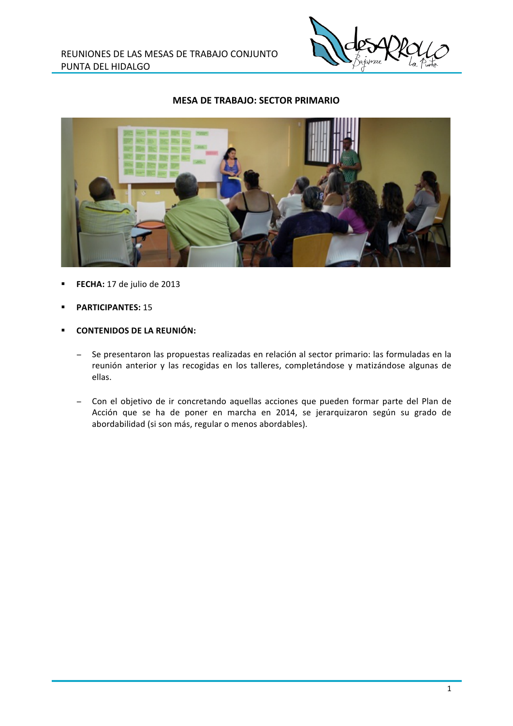

## **MESA DE TRABAJO: SECTOR PRIMARIO**



- FECHA: 17 de julio de 2013
- **PARTICIPANTES: 15**
- **CONTENIDOS DE LA REUNIÓN:** 
	- Se presentaron las propuestas realizadas en relación al sector primario: las formuladas en la  $\equiv$ reunión anterior y las recogidas en los talleres, completándose y matizándose algunas de ellas.
	- Con el objetivo de ir concretando aquellas acciones que pueden formar parte del Plan de Acción que se ha de poner en marcha en 2014, se jerarquizaron según su grado de abordabilidad (si son más, regular o menos abordables).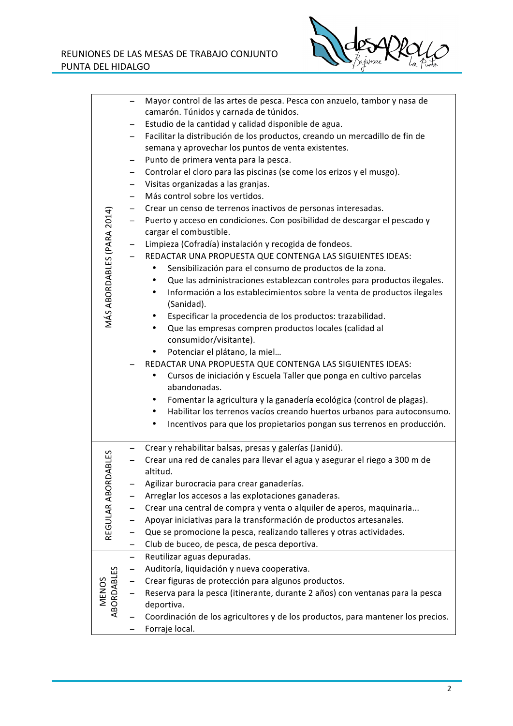

| MÁS ABORDABLES (PARA 2014) | $\qquad \qquad -$<br>$\overline{\phantom{0}}$<br>$\qquad \qquad -$<br>$\qquad \qquad -$<br>$\qquad \qquad -$<br>- | Mayor control de las artes de pesca. Pesca con anzuelo, tambor y nasa de<br>camarón. Túnidos y carnada de túnidos.<br>Estudio de la cantidad y calidad disponible de agua.<br>Facilitar la distribución de los productos, creando un mercadillo de fin de<br>semana y aprovechar los puntos de venta existentes.<br>Punto de primera venta para la pesca.<br>Controlar el cloro para las piscinas (se come los erizos y el musgo).<br>Visitas organizadas a las granjas.<br>Más control sobre los vertidos.<br>Crear un censo de terrenos inactivos de personas interesadas. |
|----------------------------|-------------------------------------------------------------------------------------------------------------------|------------------------------------------------------------------------------------------------------------------------------------------------------------------------------------------------------------------------------------------------------------------------------------------------------------------------------------------------------------------------------------------------------------------------------------------------------------------------------------------------------------------------------------------------------------------------------|
|                            | -                                                                                                                 | Puerto y acceso en condiciones. Con posibilidad de descargar el pescado y<br>cargar el combustible.<br>Limpieza (Cofradía) instalación y recogida de fondeos.                                                                                                                                                                                                                                                                                                                                                                                                                |
|                            | $\qquad \qquad -$                                                                                                 | REDACTAR UNA PROPUESTA QUE CONTENGA LAS SIGUIENTES IDEAS:<br>Sensibilización para el consumo de productos de la zona.<br>Que las administraciones establezcan controles para productos ilegales.<br>٠<br>Información a los establecimientos sobre la venta de productos ilegales<br>٠<br>(Sanidad).                                                                                                                                                                                                                                                                          |
|                            |                                                                                                                   | Especificar la procedencia de los productos: trazabilidad.<br>٠<br>Que las empresas compren productos locales (calidad al<br>٠<br>consumidor/visitante).<br>Potenciar el plátano, la miel<br>$\bullet$<br>REDACTAR UNA PROPUESTA QUE CONTENGA LAS SIGUIENTES IDEAS:<br>Cursos de iniciación y Escuela Taller que ponga en cultivo parcelas<br>٠<br>abandonadas.                                                                                                                                                                                                              |
|                            |                                                                                                                   | Fomentar la agricultura y la ganadería ecológica (control de plagas).<br>٠<br>Habilitar los terrenos vacíos creando huertos urbanos para autoconsumo.<br>٠<br>Incentivos para que los propietarios pongan sus terrenos en producción.<br>٠                                                                                                                                                                                                                                                                                                                                   |
| DABLES<br>REGULAR ABOR     |                                                                                                                   | Crear y rehabilitar balsas, presas y galerías (Janidú).<br>Crear una red de canales para llevar el agua y asegurar el riego a 300 m de<br>altitud.                                                                                                                                                                                                                                                                                                                                                                                                                           |
|                            |                                                                                                                   | Agilizar burocracia para crear ganaderías.                                                                                                                                                                                                                                                                                                                                                                                                                                                                                                                                   |
|                            |                                                                                                                   | Arreglar los accesos a las explotaciones ganaderas.                                                                                                                                                                                                                                                                                                                                                                                                                                                                                                                          |
|                            |                                                                                                                   | Crear una central de compra y venta o alquiler de aperos, maquinaria                                                                                                                                                                                                                                                                                                                                                                                                                                                                                                         |
|                            |                                                                                                                   | Apoyar iniciativas para la transformación de productos artesanales.                                                                                                                                                                                                                                                                                                                                                                                                                                                                                                          |
|                            |                                                                                                                   | Que se promocione la pesca, realizando talleres y otras actividades.                                                                                                                                                                                                                                                                                                                                                                                                                                                                                                         |
|                            |                                                                                                                   | Club de buceo, de pesca, de pesca deportiva.                                                                                                                                                                                                                                                                                                                                                                                                                                                                                                                                 |
| ABORDABLES<br><b>MENOS</b> | $\qquad \qquad -$                                                                                                 | Reutilizar aguas depuradas.                                                                                                                                                                                                                                                                                                                                                                                                                                                                                                                                                  |
|                            |                                                                                                                   | Auditoría, liquidación y nueva cooperativa.                                                                                                                                                                                                                                                                                                                                                                                                                                                                                                                                  |
|                            |                                                                                                                   | Crear figuras de protección para algunos productos.                                                                                                                                                                                                                                                                                                                                                                                                                                                                                                                          |
|                            |                                                                                                                   | Reserva para la pesca (itinerante, durante 2 años) con ventanas para la pesca<br>deportiva.                                                                                                                                                                                                                                                                                                                                                                                                                                                                                  |
|                            |                                                                                                                   | Coordinación de los agricultores y de los productos, para mantener los precios.<br>Forraje local.                                                                                                                                                                                                                                                                                                                                                                                                                                                                            |
|                            |                                                                                                                   |                                                                                                                                                                                                                                                                                                                                                                                                                                                                                                                                                                              |